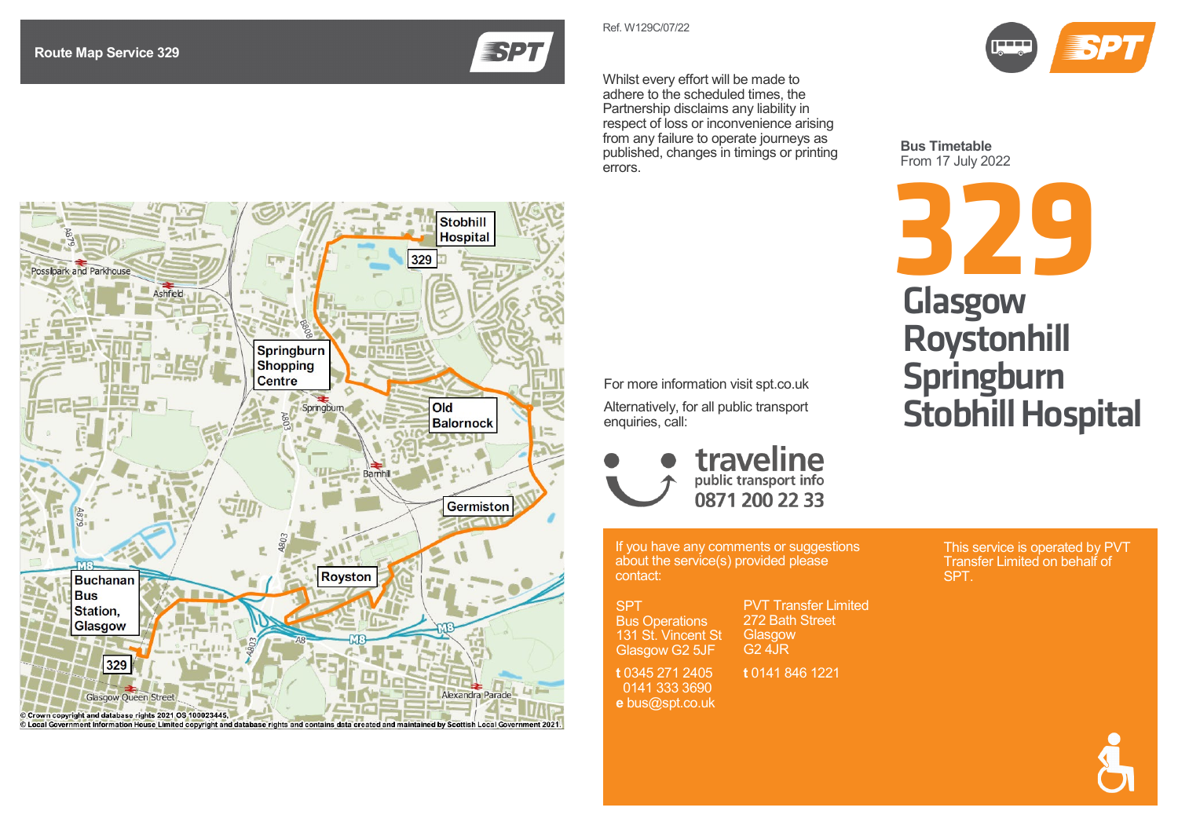

Whilst every effort will be made to adhere to the scheduled times, the

Ref. W129 C /07/22

Partnership disclaims any liability in respect of loss or inconvenience arising from any failure to operate journeys as published, changes in timings or printing errors.



**Bus Timetable** From 17 July 2022



For more information visit spt.co.uk

Alternatively, for all public transport enquiries, call:



If you have any comments or suggestions about the service(s) provided please contact:

SPT Bus Operations 131 St. Vincent St Glasgow G2 5JF

**t** 0345 271 2405 G2 4JR **t** 0141 846 1221

 0141 333 3690 **e** bus@spt.co.uk

PVT Transfer Limite d 272 Bath Street **Glasgow** 

This service is operated by PVT Transfer Limited on behalf of

SPT.



Crown copyright and database rights 2021 OS 100023445, © Local Government Information House Limited copyright and database rights and contains data created and maintained by Scottish Local Government 2021